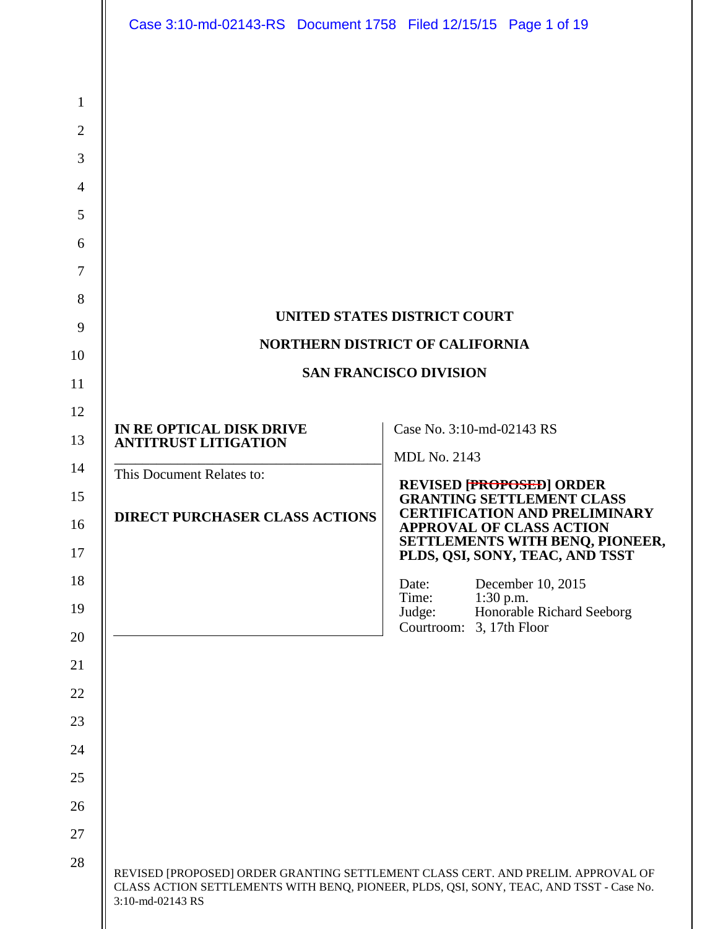|                                                                                                   | Case 3:10-md-02143-RS Document 1758 Filed 12/15/15 Page 1 of 19 |                                                                                                                                                                                                                |  |
|---------------------------------------------------------------------------------------------------|-----------------------------------------------------------------|----------------------------------------------------------------------------------------------------------------------------------------------------------------------------------------------------------------|--|
| $\mathbf{1}$<br>$\overline{2}$<br>3<br>$\overline{4}$<br>5<br>6<br>$\overline{7}$<br>8<br>9<br>10 |                                                                 | UNITED STATES DISTRICT COURT<br>NORTHERN DISTRICT OF CALIFORNIA<br><b>SAN FRANCISCO DIVISION</b>                                                                                                               |  |
| 11                                                                                                |                                                                 |                                                                                                                                                                                                                |  |
| 12<br>13                                                                                          | IN RE OPTICAL DISK DRIVE<br><b>ANTITRUST LITIGATION</b>         | Case No. 3:10-md-02143 RS                                                                                                                                                                                      |  |
| 14                                                                                                | This Document Relates to:                                       | <b>MDL No. 2143</b>                                                                                                                                                                                            |  |
| 15<br>16<br>17                                                                                    | <b>DIRECT PURCHASER CLASS ACTIONS</b>                           | <b>REVISED [PROPOSED] ORDER<br/>GRANTING SETTLEMENT CLASS</b><br><b>CERTIFICATION AND PRELIMINARY</b><br><b>APPROVAL OF CLASS ACTION</b><br>SETTLEMENTS WITH BENQ, PIONEER,<br>PLDS, QSI, SONY, TEAC, AND TSST |  |
| 18                                                                                                |                                                                 | December 10, 2015<br>Date:                                                                                                                                                                                     |  |
| 19                                                                                                |                                                                 | Time:<br>$1:30$ p.m.<br>Honorable Richard Seeborg<br>Judge:                                                                                                                                                    |  |
| 20                                                                                                |                                                                 | Courtroom:<br>3, 17th Floor                                                                                                                                                                                    |  |
| 21                                                                                                |                                                                 |                                                                                                                                                                                                                |  |
| 22                                                                                                |                                                                 |                                                                                                                                                                                                                |  |
| 23                                                                                                |                                                                 |                                                                                                                                                                                                                |  |
| 24                                                                                                |                                                                 |                                                                                                                                                                                                                |  |
| 25                                                                                                |                                                                 |                                                                                                                                                                                                                |  |
| 26                                                                                                |                                                                 |                                                                                                                                                                                                                |  |
| 27                                                                                                |                                                                 |                                                                                                                                                                                                                |  |
| 28                                                                                                | 3:10-md-02143 RS                                                | REVISED [PROPOSED] ORDER GRANTING SETTLEMENT CLASS CERT. AND PRELIM. APPROVAL OF<br>CLASS ACTION SETTLEMENTS WITH BENQ, PIONEER, PLDS, QSI, SONY, TEAC, AND TSST - Case No.                                    |  |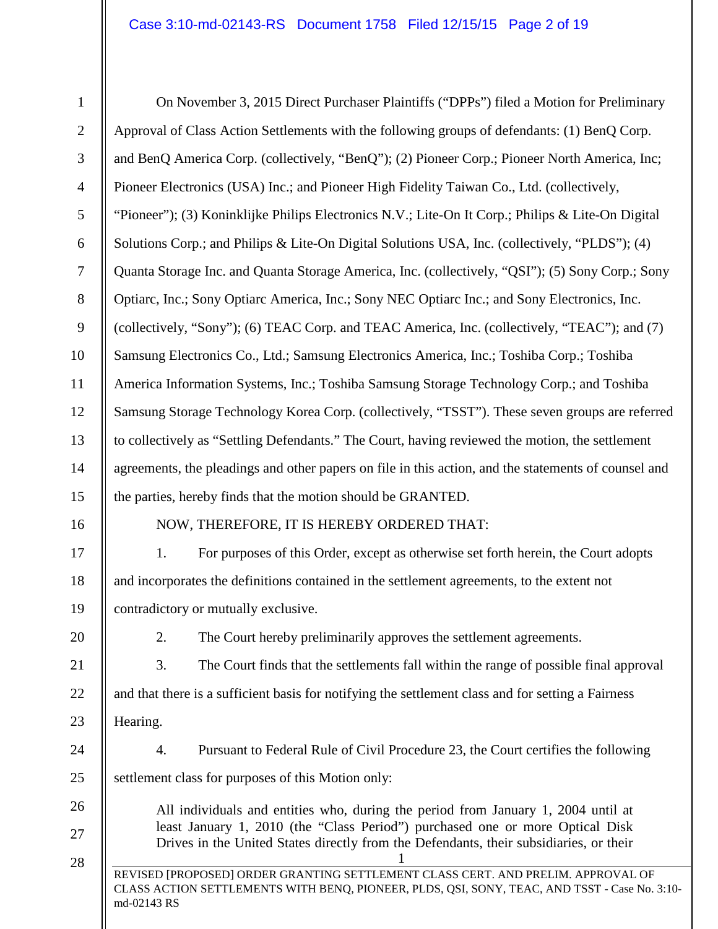| $\mathbf{1}$   | On November 3, 2015 Direct Purchaser Plaintiffs ("DPPs") filed a Motion for Preliminary                                                                                                          |  |  |
|----------------|--------------------------------------------------------------------------------------------------------------------------------------------------------------------------------------------------|--|--|
| $\overline{2}$ | Approval of Class Action Settlements with the following groups of defendants: (1) BenQ Corp.                                                                                                     |  |  |
| $\mathfrak{Z}$ | and BenQ America Corp. (collectively, "BenQ"); (2) Pioneer Corp.; Pioneer North America, Inc;                                                                                                    |  |  |
| $\overline{4}$ | Pioneer Electronics (USA) Inc.; and Pioneer High Fidelity Taiwan Co., Ltd. (collectively,                                                                                                        |  |  |
| $\mathfrak{S}$ | "Pioneer"); (3) Koninklijke Philips Electronics N.V.; Lite-On It Corp.; Philips & Lite-On Digital                                                                                                |  |  |
| 6              | Solutions Corp.; and Philips & Lite-On Digital Solutions USA, Inc. (collectively, "PLDS"); (4)                                                                                                   |  |  |
| $\overline{7}$ | Quanta Storage Inc. and Quanta Storage America, Inc. (collectively, "QSI"); (5) Sony Corp.; Sony                                                                                                 |  |  |
| $8\,$          | Optiarc, Inc.; Sony Optiarc America, Inc.; Sony NEC Optiarc Inc.; and Sony Electronics, Inc.                                                                                                     |  |  |
| 9              | (collectively, "Sony"); (6) TEAC Corp. and TEAC America, Inc. (collectively, "TEAC"); and (7)                                                                                                    |  |  |
| 10             | Samsung Electronics Co., Ltd.; Samsung Electronics America, Inc.; Toshiba Corp.; Toshiba                                                                                                         |  |  |
| 11             | America Information Systems, Inc.; Toshiba Samsung Storage Technology Corp.; and Toshiba                                                                                                         |  |  |
| 12             | Samsung Storage Technology Korea Corp. (collectively, "TSST"). These seven groups are referred                                                                                                   |  |  |
| 13             | to collectively as "Settling Defendants." The Court, having reviewed the motion, the settlement                                                                                                  |  |  |
| 14             | agreements, the pleadings and other papers on file in this action, and the statements of counsel and                                                                                             |  |  |
| 15             | the parties, hereby finds that the motion should be GRANTED.                                                                                                                                     |  |  |
| 16             | NOW, THEREFORE, IT IS HEREBY ORDERED THAT:                                                                                                                                                       |  |  |
| 17             | For purposes of this Order, except as otherwise set forth herein, the Court adopts<br>1.                                                                                                         |  |  |
| 18             | and incorporates the definitions contained in the settlement agreements, to the extent not                                                                                                       |  |  |
| 19             | contradictory or mutually exclusive.                                                                                                                                                             |  |  |
| 20             | 2.<br>The Court hereby preliminarily approves the settlement agreements.                                                                                                                         |  |  |
| 21             | 3.<br>The Court finds that the settlements fall within the range of possible final approval                                                                                                      |  |  |
| 22             | and that there is a sufficient basis for notifying the settlement class and for setting a Fairness                                                                                               |  |  |
| 23             | Hearing.                                                                                                                                                                                         |  |  |
| 24             | Pursuant to Federal Rule of Civil Procedure 23, the Court certifies the following<br>4.                                                                                                          |  |  |
| 25             | settlement class for purposes of this Motion only:                                                                                                                                               |  |  |
| 26             | All individuals and entities who, during the period from January 1, 2004 until at                                                                                                                |  |  |
| 27             | least January 1, 2010 (the "Class Period") purchased one or more Optical Disk<br>Drives in the United States directly from the Defendants, their subsidiaries, or their                          |  |  |
| 28             | REVISED [PROPOSED] ORDER GRANTING SETTLEMENT CLASS CERT. AND PRELIM. APPROVAL OF<br>CLASS ACTION SETTLEMENTS WITH BENQ, PIONEER, PLDS, QSI, SONY, TEAC, AND TSST - Case No. 3:10-<br>md-02143 RS |  |  |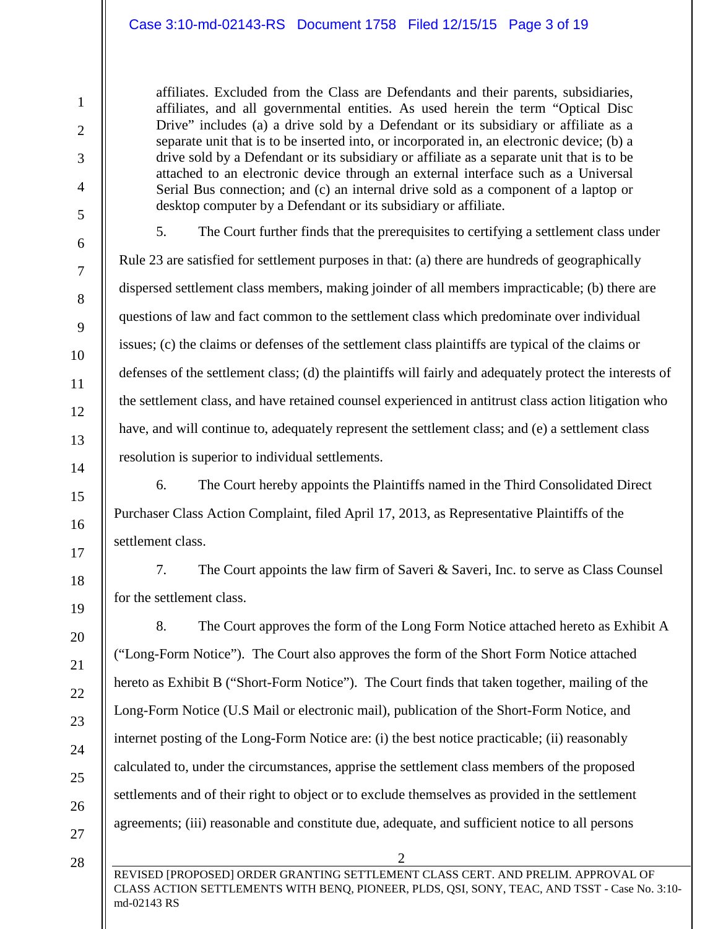#### Case 3:10-md-02143-RS Document 1758 Filed 12/15/15 Page 3 of 19

affiliates. Excluded from the Class are Defendants and their parents, subsidiaries, affiliates, and all governmental entities. As used herein the term "Optical Disc Drive" includes (a) a drive sold by a Defendant or its subsidiary or affiliate as a separate unit that is to be inserted into, or incorporated in, an electronic device; (b) a drive sold by a Defendant or its subsidiary or affiliate as a separate unit that is to be attached to an electronic device through an external interface such as a Universal Serial Bus connection; and (c) an internal drive sold as a component of a laptop or desktop computer by a Defendant or its subsidiary or affiliate.

5. The Court further finds that the prerequisites to certifying a settlement class under Rule 23 are satisfied for settlement purposes in that: (a) there are hundreds of geographically dispersed settlement class members, making joinder of all members impracticable; (b) there are questions of law and fact common to the settlement class which predominate over individual issues; (c) the claims or defenses of the settlement class plaintiffs are typical of the claims or defenses of the settlement class; (d) the plaintiffs will fairly and adequately protect the interests of the settlement class, and have retained counsel experienced in antitrust class action litigation who have, and will continue to, adequately represent the settlement class; and (e) a settlement class resolution is superior to individual settlements.

6. The Court hereby appoints the Plaintiffs named in the Third Consolidated Direct Purchaser Class Action Complaint, filed April 17, 2013, as Representative Plaintiffs of the settlement class.

7. The Court appoints the law firm of Saveri & Saveri, Inc. to serve as Class Counsel for the settlement class.

8. The Court approves the form of the Long Form Notice attached hereto as Exhibit A ("Long-Form Notice"). The Court also approves the form of the Short Form Notice attached hereto as Exhibit B ("Short-Form Notice"). The Court finds that taken together, mailing of the Long-Form Notice (U.S Mail or electronic mail), publication of the Short-Form Notice, and internet posting of the Long-Form Notice are: (i) the best notice practicable; (ii) reasonably calculated to, under the circumstances, apprise the settlement class members of the proposed settlements and of their right to object or to exclude themselves as provided in the settlement agreements; (iii) reasonable and constitute due, adequate, and sufficient notice to all persons

27 28

1

2

3

4

5

6

7

8

9

10

11

12

13

14

15

16

17

18

19

20

21

22

23

24

25

26

REVISED [PROPOSED] ORDER GRANTING SETTLEMENT CLASS CERT. AND PRELIM. APPROVAL OF CLASS ACTION SETTLEMENTS WITH BENQ, PIONEER, PLDS, QSI, SONY, TEAC, AND TSST - Case No. 3:10 md-02143 RS

2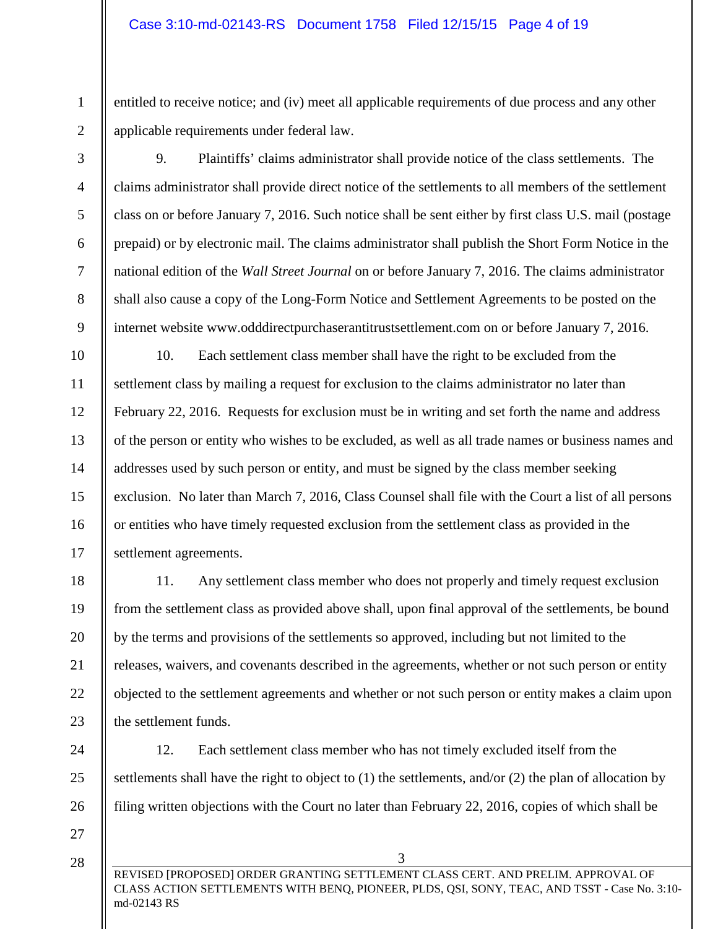entitled to receive notice; and (iv) meet all applicable requirements of due process and any other applicable requirements under federal law.

9. Plaintiffs' claims administrator shall provide notice of the class settlements. The claims administrator shall provide direct notice of the settlements to all members of the settlement class on or before January 7, 2016. Such notice shall be sent either by first class U.S. mail (postage prepaid) or by electronic mail. The claims administrator shall publish the Short Form Notice in the national edition of the *Wall Street Journal* on or before January 7, 2016. The claims administrator shall also cause a copy of the Long-Form Notice and Settlement Agreements to be posted on the internet website www.odddirectpurchaserantitrustsettlement.com on or before January 7, 2016.

12 13 14 16 10. Each settlement class member shall have the right to be excluded from the settlement class by mailing a request for exclusion to the claims administrator no later than February 22, 2016. Requests for exclusion must be in writing and set forth the name and address of the person or entity who wishes to be excluded, as well as all trade names or business names and addresses used by such person or entity, and must be signed by the class member seeking exclusion. No later than March 7, 2016, Class Counsel shall file with the Court a list of all persons or entities who have timely requested exclusion from the settlement class as provided in the settlement agreements.

11. Any settlement class member who does not properly and timely request exclusion from the settlement class as provided above shall, upon final approval of the settlements, be bound by the terms and provisions of the settlements so approved, including but not limited to the releases, waivers, and covenants described in the agreements, whether or not such person or entity objected to the settlement agreements and whether or not such person or entity makes a claim upon the settlement funds.

12. Each settlement class member who has not timely excluded itself from the settlements shall have the right to object to (1) the settlements, and/or (2) the plan of allocation by filing written objections with the Court no later than February 22, 2016, copies of which shall be

27

28

1

2

3

4

5

6

7

8

9

10

11

15

17

18

19

20

21

22

23

24

25

26

REVISED [PROPOSED] ORDER GRANTING SETTLEMENT CLASS CERT. AND PRELIM. APPROVAL OF CLASS ACTION SETTLEMENTS WITH BENQ, PIONEER, PLDS, QSI, SONY, TEAC, AND TSST - Case No. 3:10 md-02143 RS

3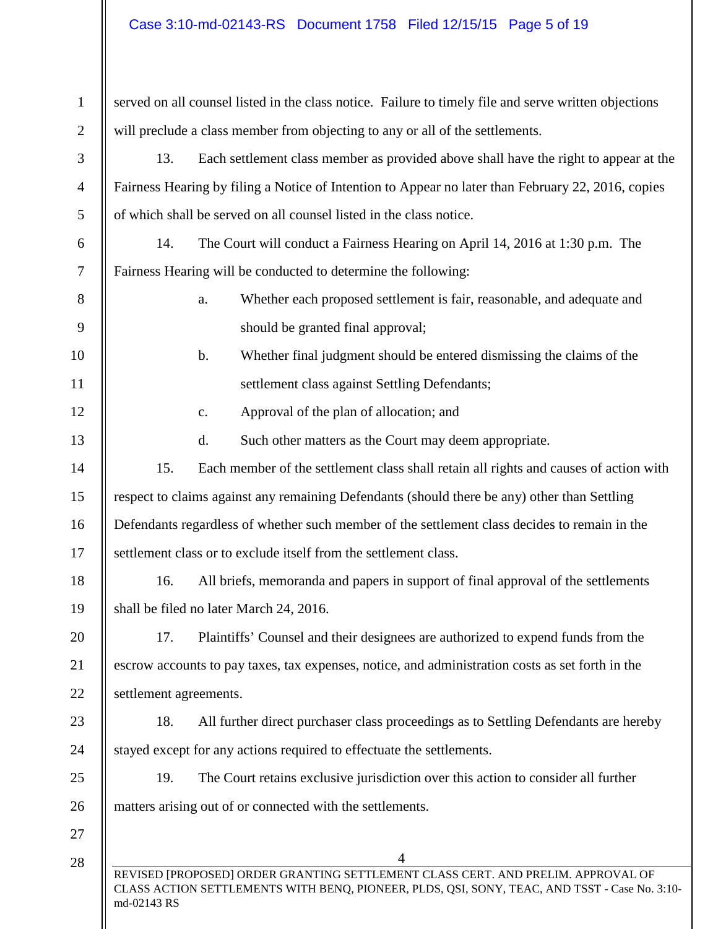| $\mathbf{1}$   | served on all counsel listed in the class notice. Failure to timely file and serve written objections                                                                                            |  |
|----------------|--------------------------------------------------------------------------------------------------------------------------------------------------------------------------------------------------|--|
| $\overline{2}$ | will preclude a class member from objecting to any or all of the settlements.                                                                                                                    |  |
| 3              | Each settlement class member as provided above shall have the right to appear at the<br>13.                                                                                                      |  |
| $\overline{4}$ | Fairness Hearing by filing a Notice of Intention to Appear no later than February 22, 2016, copies                                                                                               |  |
| 5              | of which shall be served on all counsel listed in the class notice.                                                                                                                              |  |
| 6              | 14.<br>The Court will conduct a Fairness Hearing on April 14, 2016 at 1:30 p.m. The                                                                                                              |  |
| 7              | Fairness Hearing will be conducted to determine the following:                                                                                                                                   |  |
| 8              | Whether each proposed settlement is fair, reasonable, and adequate and<br>a.                                                                                                                     |  |
| 9              | should be granted final approval;                                                                                                                                                                |  |
| 10             | Whether final judgment should be entered dismissing the claims of the<br>b.                                                                                                                      |  |
| 11             | settlement class against Settling Defendants;                                                                                                                                                    |  |
| 12             | Approval of the plan of allocation; and<br>$\mathbf{c}$ .                                                                                                                                        |  |
| 13             | Such other matters as the Court may deem appropriate.<br>d.                                                                                                                                      |  |
| 14             | 15.<br>Each member of the settlement class shall retain all rights and causes of action with                                                                                                     |  |
| 15             | respect to claims against any remaining Defendants (should there be any) other than Settling                                                                                                     |  |
| 16             | Defendants regardless of whether such member of the settlement class decides to remain in the                                                                                                    |  |
| 17             | settlement class or to exclude itself from the settlement class.                                                                                                                                 |  |
| 18             | All briefs, memoranda and papers in support of final approval of the settlements<br>16.                                                                                                          |  |
| 19             | shall be filed no later March 24, 2016.                                                                                                                                                          |  |
| 20             | Plaintiffs' Counsel and their designees are authorized to expend funds from the<br>17.                                                                                                           |  |
| 21             | escrow accounts to pay taxes, tax expenses, notice, and administration costs as set forth in the                                                                                                 |  |
| 22             | settlement agreements.                                                                                                                                                                           |  |
| 23             | All further direct purchaser class proceedings as to Settling Defendants are hereby<br>18.                                                                                                       |  |
| 24             | stayed except for any actions required to effectuate the settlements.                                                                                                                            |  |
| 25             | The Court retains exclusive jurisdiction over this action to consider all further<br>19.                                                                                                         |  |
| 26             | matters arising out of or connected with the settlements.                                                                                                                                        |  |
| 27             |                                                                                                                                                                                                  |  |
| 28             | 4                                                                                                                                                                                                |  |
|                | REVISED [PROPOSED] ORDER GRANTING SETTLEMENT CLASS CERT. AND PRELIM. APPROVAL OF<br>CLASS ACTION SETTLEMENTS WITH BENQ, PIONEER, PLDS, QSI, SONY, TEAC, AND TSST - Case No. 3:10-<br>md-02143 RS |  |
|                |                                                                                                                                                                                                  |  |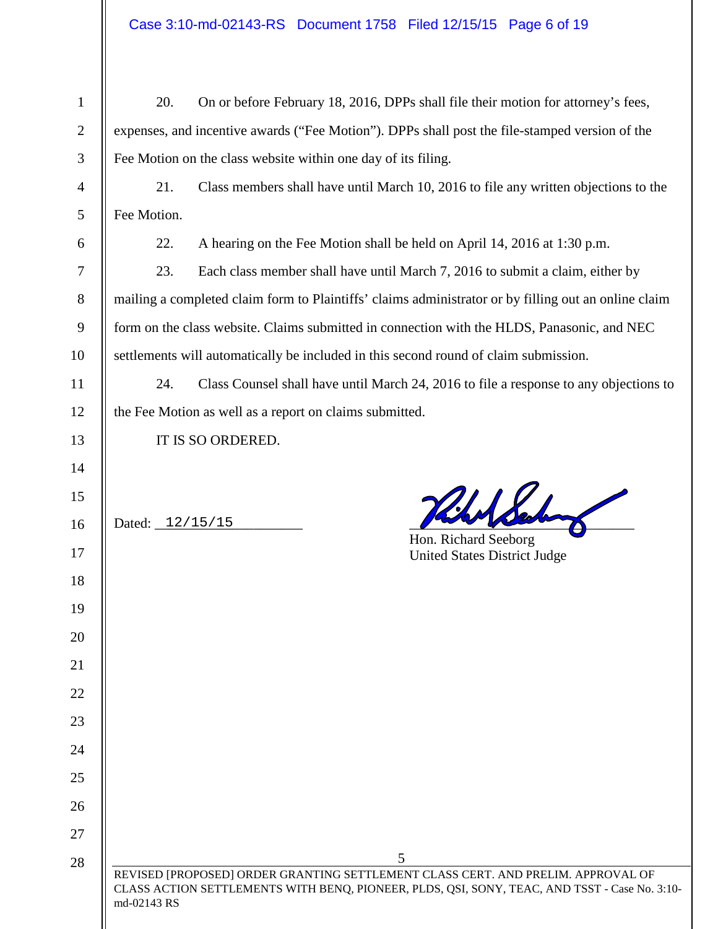| $\mathbf{1}$ | 20.                                                                                                  | On or before February 18, 2016, DPPs shall file their motion for attorney's fees,             |  |
|--------------|------------------------------------------------------------------------------------------------------|-----------------------------------------------------------------------------------------------|--|
| $\mathbf{2}$ | expenses, and incentive awards ("Fee Motion"). DPPs shall post the file-stamped version of the       |                                                                                               |  |
| 3            | Fee Motion on the class website within one day of its filing.                                        |                                                                                               |  |
| 4            | 21.<br>Class members shall have until March 10, 2016 to file any written objections to the           |                                                                                               |  |
| 5            | Fee Motion.                                                                                          |                                                                                               |  |
| 6            | 22.                                                                                                  | A hearing on the Fee Motion shall be held on April 14, 2016 at 1:30 p.m.                      |  |
| 7            | 23.                                                                                                  | Each class member shall have until March 7, 2016 to submit a claim, either by                 |  |
| 8            | mailing a completed claim form to Plaintiffs' claims administrator or by filling out an online claim |                                                                                               |  |
| 9            | form on the class website. Claims submitted in connection with the HLDS, Panasonic, and NEC          |                                                                                               |  |
| 10           | settlements will automatically be included in this second round of claim submission.                 |                                                                                               |  |
| 11           | 24.<br>Class Counsel shall have until March 24, 2016 to file a response to any objections to         |                                                                                               |  |
| 12           | the Fee Motion as well as a report on claims submitted.                                              |                                                                                               |  |
| 13           | IT IS SO ORDERED.                                                                                    |                                                                                               |  |
| 14           |                                                                                                      |                                                                                               |  |
| 15           |                                                                                                      | Hildd                                                                                         |  |
| 16           | Dated: 12/15/15                                                                                      |                                                                                               |  |
| 17           |                                                                                                      | Hon. Richard Seeborg<br><b>United States District Judge</b>                                   |  |
| 18           |                                                                                                      |                                                                                               |  |
| 19           |                                                                                                      |                                                                                               |  |
| 20           |                                                                                                      |                                                                                               |  |
| 21           |                                                                                                      |                                                                                               |  |
| 22           |                                                                                                      |                                                                                               |  |
| 23           |                                                                                                      |                                                                                               |  |
| 24           |                                                                                                      |                                                                                               |  |
| 25           |                                                                                                      |                                                                                               |  |
| 26           |                                                                                                      |                                                                                               |  |
| 27           |                                                                                                      |                                                                                               |  |
| 28           |                                                                                                      | 5<br>REVISED [PROPOSED] ORDER GRANTING SETTLEMENT CLASS CERT. AND PRELIM. APPROVAL OF         |  |
|              | md-02143 RS                                                                                          | CLASS ACTION SETTLEMENTS WITH BENQ, PIONEER, PLDS, QSI, SONY, TEAC, AND TSST - Case No. 3:10- |  |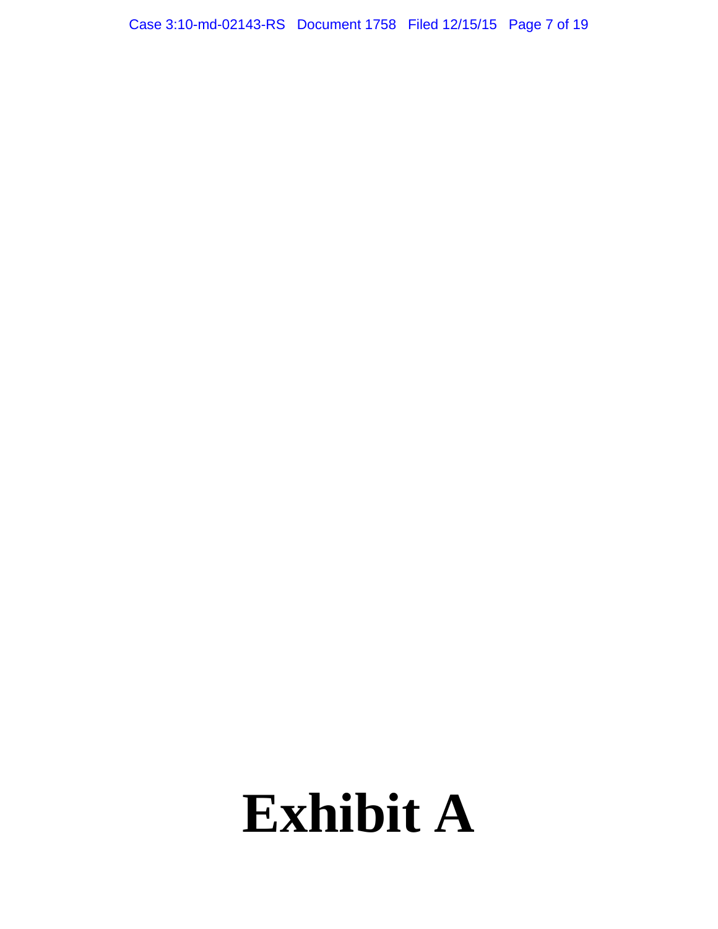Case 3:10-md-02143-RS Document 1758 Filed 12/15/15 Page 7 of 19

# **Exhibit A**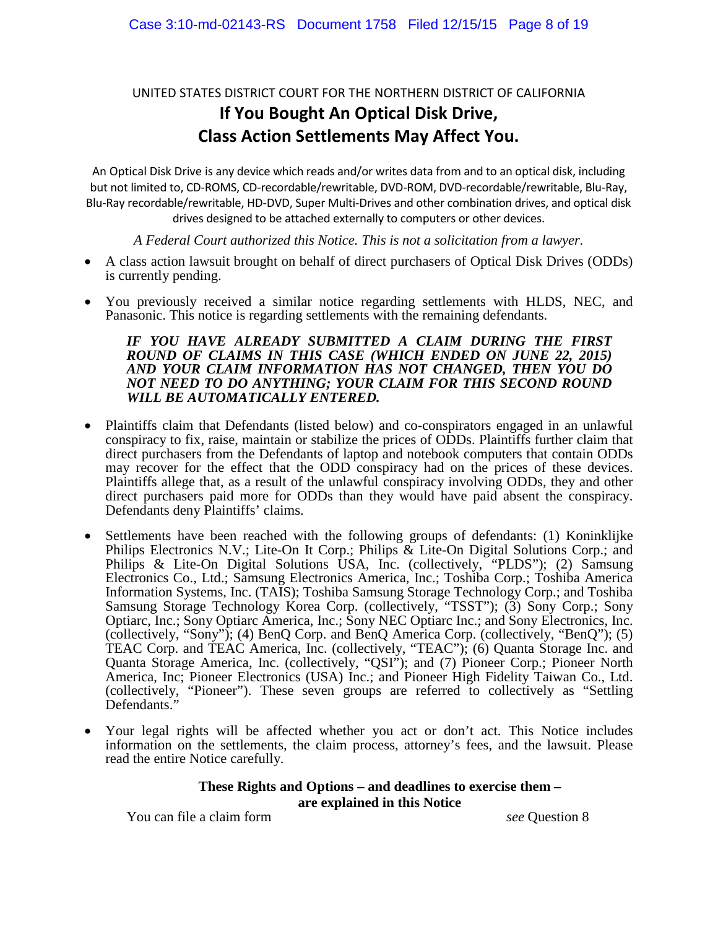# UNITED STATES DISTRICT COURT FOR THE NORTHERN DISTRICT OF CALIFORNIA **If You Bought An Optical Disk Drive, Class Action Settlements May Affect You.**

An Optical Disk Drive is any device which reads and/or writes data from and to an optical disk, including but not limited to, CD-ROMS, CD-recordable/rewritable, DVD-ROM, DVD-recordable/rewritable, Blu-Ray, Blu-Ray recordable/rewritable, HD-DVD, Super Multi-Drives and other combination drives, and optical disk drives designed to be attached externally to computers or other devices.

*A Federal Court authorized this Notice. This is not a solicitation from a lawyer.*

- A class action lawsuit brought on behalf of direct purchasers of Optical Disk Drives (ODDs) is currently pending.
- You previously received a similar notice regarding settlements with HLDS, NEC, and Panasonic. This notice is regarding settlements with the remaining defendants.

#### *IF YOU HAVE ALREADY SUBMITTED A CLAIM DURING THE FIRST ROUND OF CLAIMS IN THIS CASE (WHICH ENDED ON JUNE 22, 2015) AND YOUR CLAIM INFORMATION HAS NOT CHANGED, THEN YOU DO NOT NEED TO DO ANYTHING; YOUR CLAIM FOR THIS SECOND ROUND WILL BE AUTOMATICALLY ENTERED.*

- Plaintiffs claim that Defendants (listed below) and co-conspirators engaged in an unlawful conspiracy to fix, raise, maintain or stabilize the prices of ODDs. Plaintiffs further claim that direct purchasers from the Defendants of laptop and notebook computers that contain ODDs may recover for the effect that the ODD conspiracy had on the prices of these devices. Plaintiffs allege that, as a result of the unlawful conspiracy involving ODDs, they and other direct purchasers paid more for ODDs than they would have paid absent the conspiracy. Defendants deny Plaintiffs' claims.
- Settlements have been reached with the following groups of defendants: (1) Koninklijke Philips Electronics N.V.; Lite-On It Corp.; Philips & Lite-On Digital Solutions Corp.; and Philips & Lite-On Digital Solutions USA, Inc. (collectively, "PLDS"); (2) Samsung Electronics Co., Ltd.; Samsung Electronics America, Inc.; Toshiba Corp.; Toshiba America Information Systems, Inc. (TAIS); Toshiba Samsung Storage Technology Corp.; and Toshiba Samsung Storage Technology Korea Corp. (collectively, "TSST"); (3) Sony Corp.; Sony Optiarc, Inc.; Sony Optiarc America, Inc.; Sony NEC Optiarc Inc.; and Sony Electronics, Inc. (collectively, "Sony"); (4) BenQ Corp. and BenQ America Corp. (collectively, "BenQ"); (5) TEAC Corp. and TEAC America, Inc. (collectively, "TEAC"); (6) Quanta Storage Inc. and Quanta Storage America, Inc. (collectively, "QSI"); and (7) Pioneer Corp.; Pioneer North America, Inc; Pioneer Electronics (USA) Inc.; and Pioneer High Fidelity Taiwan Co., Ltd. (collectively, "Pioneer"). These seven groups are referred to collectively as "Settling Defendants."
- Your legal rights will be affected whether you act or don't act. This Notice includes information on the settlements, the claim process, attorney's fees, and the lawsuit. Please read the entire Notice carefully.

#### **These Rights and Options – and deadlines to exercise them – are explained in this Notice**

You can file a claim form *see* Question 8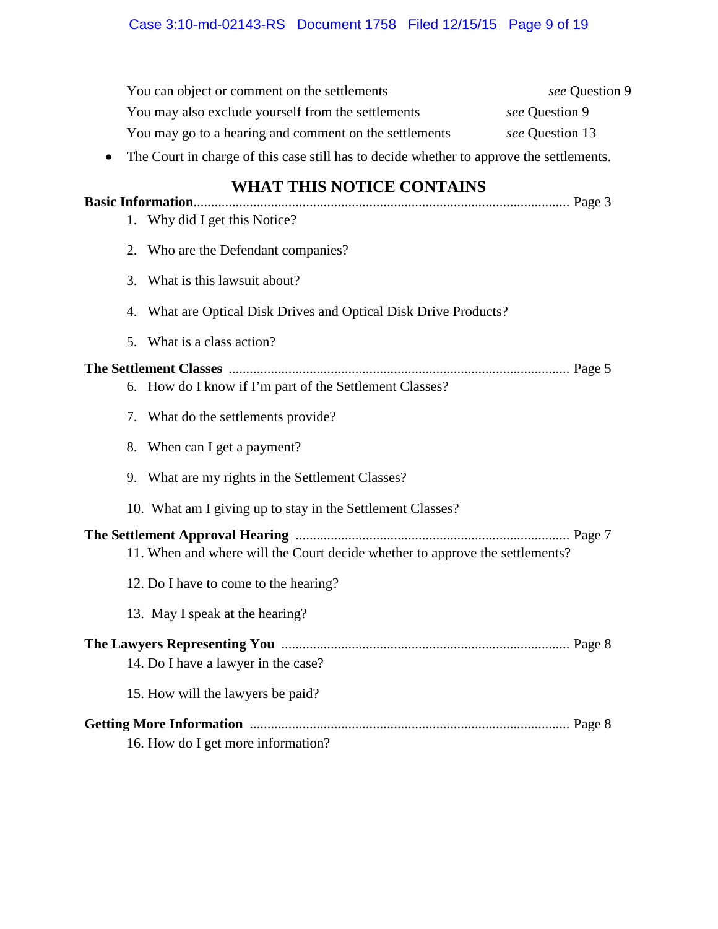# Case 3:10-md-02143-RS Document 1758 Filed 12/15/15 Page 9 of 19

|                          | You can object or comment on the settlements                                             | see Question 9  |
|--------------------------|------------------------------------------------------------------------------------------|-----------------|
|                          | You may also exclude yourself from the settlements                                       | see Question 9  |
|                          | You may go to a hearing and comment on the settlements                                   | see Question 13 |
|                          | The Court in charge of this case still has to decide whether to approve the settlements. |                 |
| <b>Basic Information</b> | WHAT THIS NOTICE CONTAINS                                                                |                 |
|                          | 1. Why did I get this Notice?                                                            |                 |
|                          | 2. Who are the Defendant companies?                                                      |                 |
|                          | 3. What is this lawsuit about?                                                           |                 |
|                          | 4. What are Optical Disk Drives and Optical Disk Drive Products?                         |                 |
|                          | 5. What is a class action?                                                               |                 |
|                          |                                                                                          |                 |
|                          | 6. How do I know if I'm part of the Settlement Classes?                                  |                 |
|                          | 7. What do the settlements provide?                                                      |                 |
|                          | 8. When can I get a payment?                                                             |                 |
|                          | 9. What are my rights in the Settlement Classes?                                         |                 |
|                          | 10. What am I giving up to stay in the Settlement Classes?                               |                 |
|                          | 11. When and where will the Court decide whether to approve the settlements?             |                 |
|                          | 12. Do I have to come to the hearing?                                                    |                 |
|                          | 13. May I speak at the hearing?                                                          |                 |
|                          |                                                                                          |                 |
|                          | 14. Do I have a lawyer in the case?                                                      |                 |
|                          | 15. How will the lawyers be paid?                                                        |                 |
|                          |                                                                                          |                 |
|                          | 16. How do I get more information?                                                       |                 |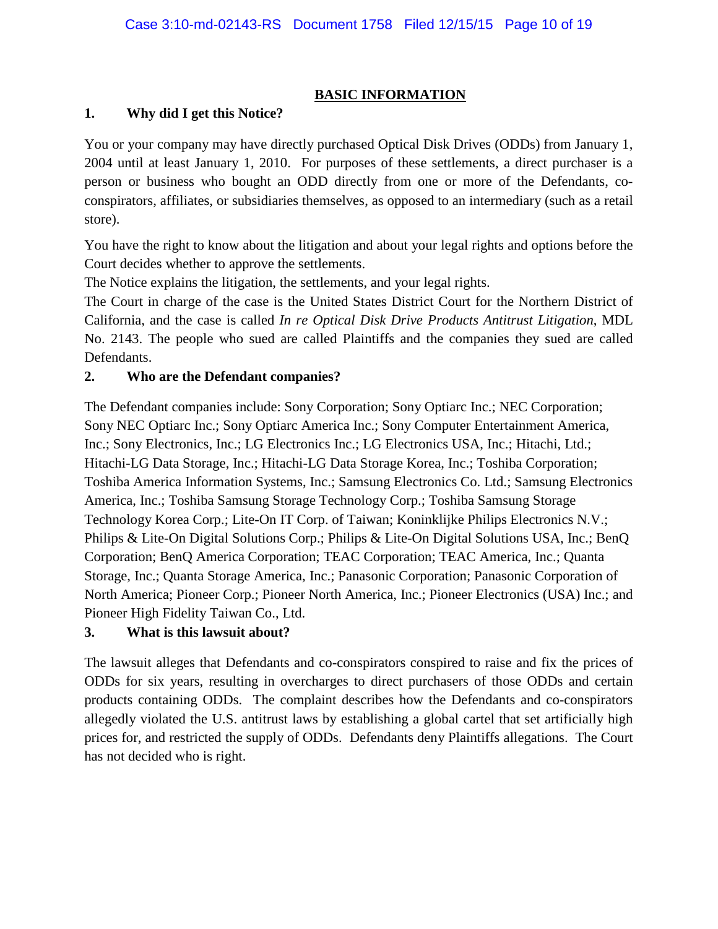## **BASIC INFORMATION**

#### **1. Why did I get this Notice?**

You or your company may have directly purchased Optical Disk Drives (ODDs) from January 1, 2004 until at least January 1, 2010. For purposes of these settlements, a direct purchaser is a person or business who bought an ODD directly from one or more of the Defendants, coconspirators, affiliates, or subsidiaries themselves, as opposed to an intermediary (such as a retail store).

You have the right to know about the litigation and about your legal rights and options before the Court decides whether to approve the settlements.

The Notice explains the litigation, the settlements, and your legal rights.

The Court in charge of the case is the United States District Court for the Northern District of California, and the case is called *In re Optical Disk Drive Products Antitrust Litigation*, MDL No. 2143. The people who sued are called Plaintiffs and the companies they sued are called Defendants.

### **2. Who are the Defendant companies?**

The Defendant companies include: Sony Corporation; Sony Optiarc Inc.; NEC Corporation; Sony NEC Optiarc Inc.; Sony Optiarc America Inc.; Sony Computer Entertainment America, Inc.; Sony Electronics, Inc.; LG Electronics Inc.; LG Electronics USA, Inc.; Hitachi, Ltd.; Hitachi-LG Data Storage, Inc.; Hitachi-LG Data Storage Korea, Inc.; Toshiba Corporation; Toshiba America Information Systems, Inc.; Samsung Electronics Co. Ltd.; Samsung Electronics America, Inc.; Toshiba Samsung Storage Technology Corp.; Toshiba Samsung Storage Technology Korea Corp.; Lite-On IT Corp. of Taiwan; Koninklijke Philips Electronics N.V.; Philips & Lite-On Digital Solutions Corp.; Philips & Lite-On Digital Solutions USA, Inc.; BenQ Corporation; BenQ America Corporation; TEAC Corporation; TEAC America, Inc.; Quanta Storage, Inc.; Quanta Storage America, Inc.; Panasonic Corporation; Panasonic Corporation of North America; Pioneer Corp.; Pioneer North America, Inc.; Pioneer Electronics (USA) Inc.; and Pioneer High Fidelity Taiwan Co., Ltd.

## **3. What is this lawsuit about?**

The lawsuit alleges that Defendants and co-conspirators conspired to raise and fix the prices of ODDs for six years, resulting in overcharges to direct purchasers of those ODDs and certain products containing ODDs. The complaint describes how the Defendants and co-conspirators allegedly violated the U.S. antitrust laws by establishing a global cartel that set artificially high prices for, and restricted the supply of ODDs. Defendants deny Plaintiffs allegations. The Court has not decided who is right.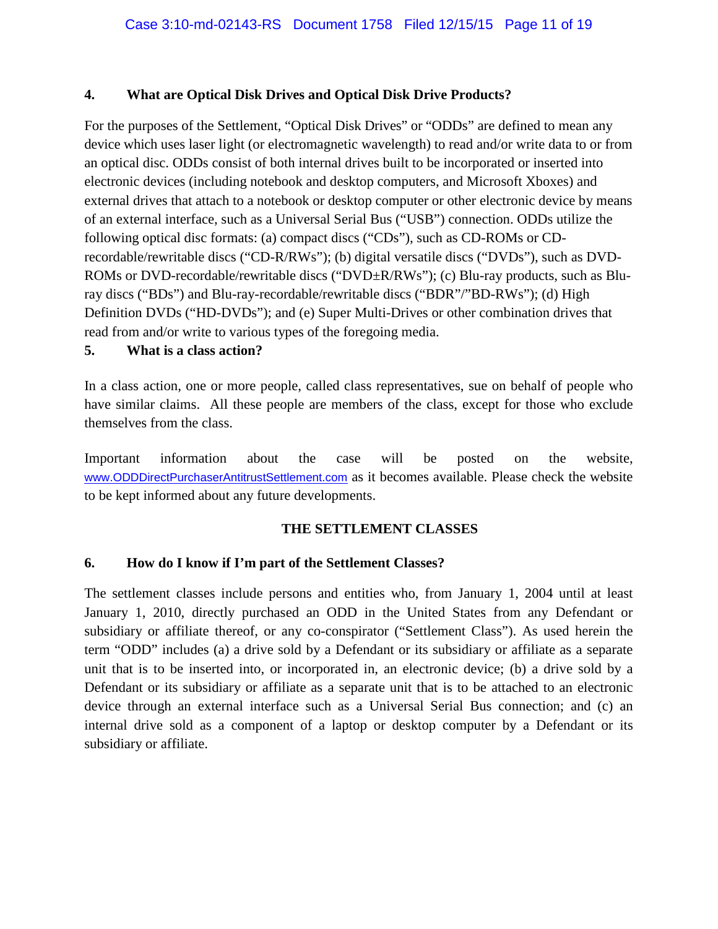#### **4. What are Optical Disk Drives and Optical Disk Drive Products?**

For the purposes of the Settlement, "Optical Disk Drives" or "ODDs" are defined to mean any device which uses laser light (or electromagnetic wavelength) to read and/or write data to or from an optical disc. ODDs consist of both internal drives built to be incorporated or inserted into electronic devices (including notebook and desktop computers, and Microsoft Xboxes) and external drives that attach to a notebook or desktop computer or other electronic device by means of an external interface, such as a Universal Serial Bus ("USB") connection. ODDs utilize the following optical disc formats: (a) compact discs ("CDs"), such as CD-ROMs or CDrecordable/rewritable discs ("CD-R/RWs"); (b) digital versatile discs ("DVDs"), such as DVD-ROMs or DVD-recordable/rewritable discs ("DVD±R/RWs"); (c) Blu-ray products, such as Bluray discs ("BDs") and Blu-ray-recordable/rewritable discs ("BDR"/"BD-RWs"); (d) High Definition DVDs ("HD-DVDs"); and (e) Super Multi-Drives or other combination drives that read from and/or write to various types of the foregoing media.

#### **5. What is a class action?**

In a class action, one or more people, called class representatives, sue on behalf of people who have similar claims. All these people are members of the class, except for those who exclude themselves from the class.

Important information about the case will be posted on the website, www.ODDDirectPurchaserAntitrustSettlement.com as it becomes available. Please check the website to be kept informed about any future developments.

#### **THE SETTLEMENT CLASSES**

#### **6. How do I know if I'm part of the Settlement Classes?**

The settlement classes include persons and entities who, from January 1, 2004 until at least January 1, 2010, directly purchased an ODD in the United States from any Defendant or subsidiary or affiliate thereof, or any co-conspirator ("Settlement Class"). As used herein the term "ODD" includes (a) a drive sold by a Defendant or its subsidiary or affiliate as a separate unit that is to be inserted into, or incorporated in, an electronic device; (b) a drive sold by a Defendant or its subsidiary or affiliate as a separate unit that is to be attached to an electronic device through an external interface such as a Universal Serial Bus connection; and (c) an internal drive sold as a component of a laptop or desktop computer by a Defendant or its subsidiary or affiliate.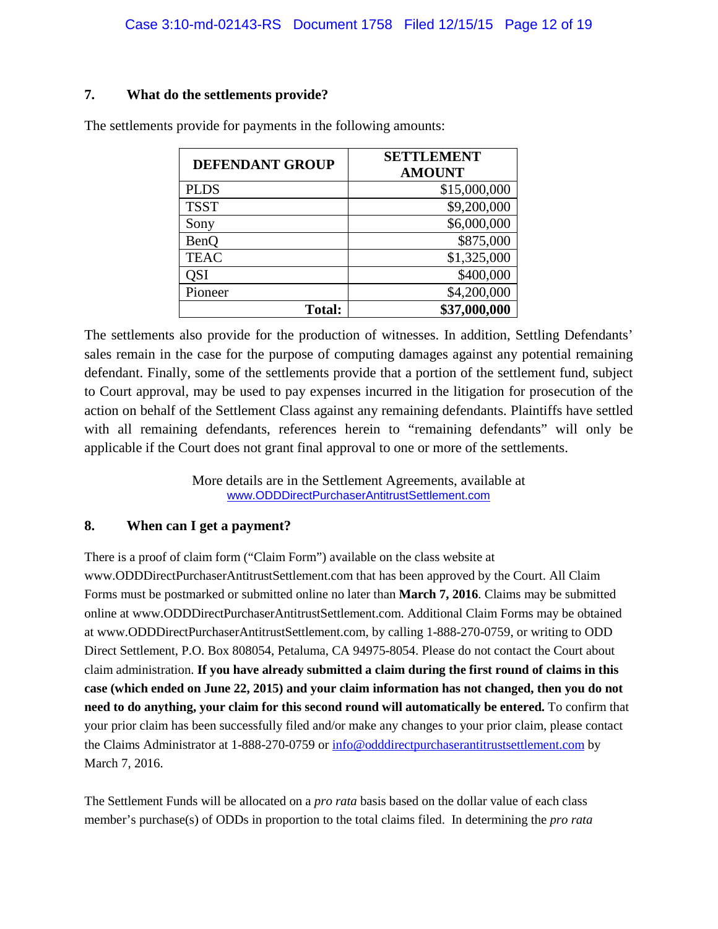#### **7. What do the settlements provide?**

| <b>DEFENDANT GROUP</b> | <b>SETTLEMENT</b><br><b>AMOUNT</b> |
|------------------------|------------------------------------|
| <b>PLDS</b>            | \$15,000,000                       |
| <b>TSST</b>            | \$9,200,000                        |
| Sony                   | \$6,000,000                        |
| <b>BenO</b>            | \$875,000                          |
| <b>TEAC</b>            | \$1,325,000                        |
| QSI                    | \$400,000                          |
| Pioneer                | \$4,200,000                        |
| <b>Total:</b>          | \$37,000,000                       |

The settlements provide for payments in the following amounts:

The settlements also provide for the production of witnesses. In addition, Settling Defendants' sales remain in the case for the purpose of computing damages against any potential remaining defendant. Finally, some of the settlements provide that a portion of the settlement fund, subject to Court approval, may be used to pay expenses incurred in the litigation for prosecution of the action on behalf of the Settlement Class against any remaining defendants. Plaintiffs have settled with all remaining defendants, references herein to "remaining defendants" will only be applicable if the Court does not grant final approval to one or more of the settlements.

> More details are in the Settlement Agreements, available at www.ODDDirectPurchaserAntitrustSettlement.com

#### **8. When can I get a payment?**

There is a proof of claim form ("Claim Form") available on the class website at www.ODDDirectPurchaserAntitrustSettlement.com that has been approved by the Court. All Claim Forms must be postmarked or submitted online no later than **March 7, 2016**. Claims may be submitted online at www.ODDDirectPurchaserAntitrustSettlement.com. Additional Claim Forms may be obtained at www.ODDDirectPurchaserAntitrustSettlement.com, by calling 1-888-270-0759, or writing to ODD Direct Settlement, P.O. Box 808054, Petaluma, CA 94975-8054. Please do not contact the Court about claim administration. **If you have already submitted a claim during the first round of claims in this case (which ended on June 22, 2015) and your claim information has not changed, then you do not need to do anything, your claim for this second round will automatically be entered.** To confirm that your prior claim has been successfully filed and/or make any changes to your prior claim, please contact the Claims Administrator at 1-888-270-0759 or info@odddirectpurchaserantitrustsettlement.com by March 7, 2016.

The Settlement Funds will be allocated on a *pro rata* basis based on the dollar value of each class member's purchase(s) of ODDs in proportion to the total claims filed. In determining the *pro rata*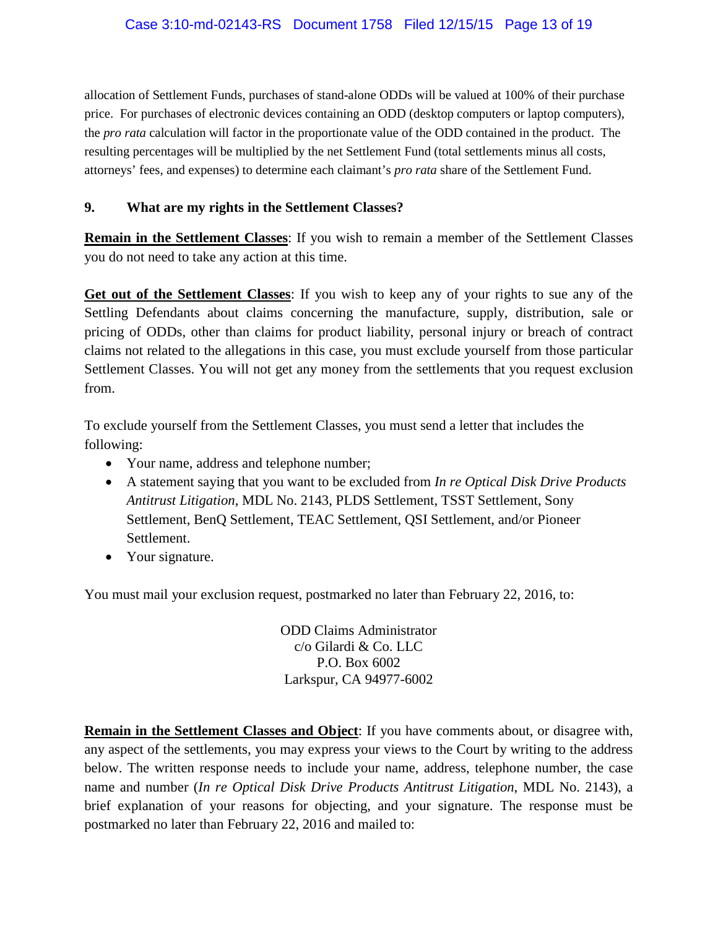allocation of Settlement Funds, purchases of stand-alone ODDs will be valued at 100% of their purchase price. For purchases of electronic devices containing an ODD (desktop computers or laptop computers), the *pro rata* calculation will factor in the proportionate value of the ODD contained in the product. The resulting percentages will be multiplied by the net Settlement Fund (total settlements minus all costs, attorneys' fees, and expenses) to determine each claimant's *pro rata* share of the Settlement Fund.

#### **9. What are my rights in the Settlement Classes?**

**Remain in the Settlement Classes**: If you wish to remain a member of the Settlement Classes you do not need to take any action at this time.

**Get out of the Settlement Classes**: If you wish to keep any of your rights to sue any of the Settling Defendants about claims concerning the manufacture, supply, distribution, sale or pricing of ODDs, other than claims for product liability, personal injury or breach of contract claims not related to the allegations in this case, you must exclude yourself from those particular Settlement Classes. You will not get any money from the settlements that you request exclusion from.

To exclude yourself from the Settlement Classes, you must send a letter that includes the following:

- Your name, address and telephone number;
- A statement saying that you want to be excluded from *In re Optical Disk Drive Products Antitrust Litigation*, MDL No. 2143, PLDS Settlement, TSST Settlement, Sony Settlement, BenQ Settlement, TEAC Settlement, QSI Settlement, and/or Pioneer Settlement.
- Your signature.

You must mail your exclusion request, postmarked no later than February 22, 2016, to:

ODD Claims Administrator c/o Gilardi & Co. LLC P.O. Box 6002 Larkspur, CA 94977-6002

**Remain in the Settlement Classes and Object**: If you have comments about, or disagree with, any aspect of the settlements, you may express your views to the Court by writing to the address below. The written response needs to include your name, address, telephone number, the case name and number (*In re Optical Disk Drive Products Antitrust Litigation*, MDL No. 2143), a brief explanation of your reasons for objecting, and your signature. The response must be postmarked no later than February 22, 2016 and mailed to: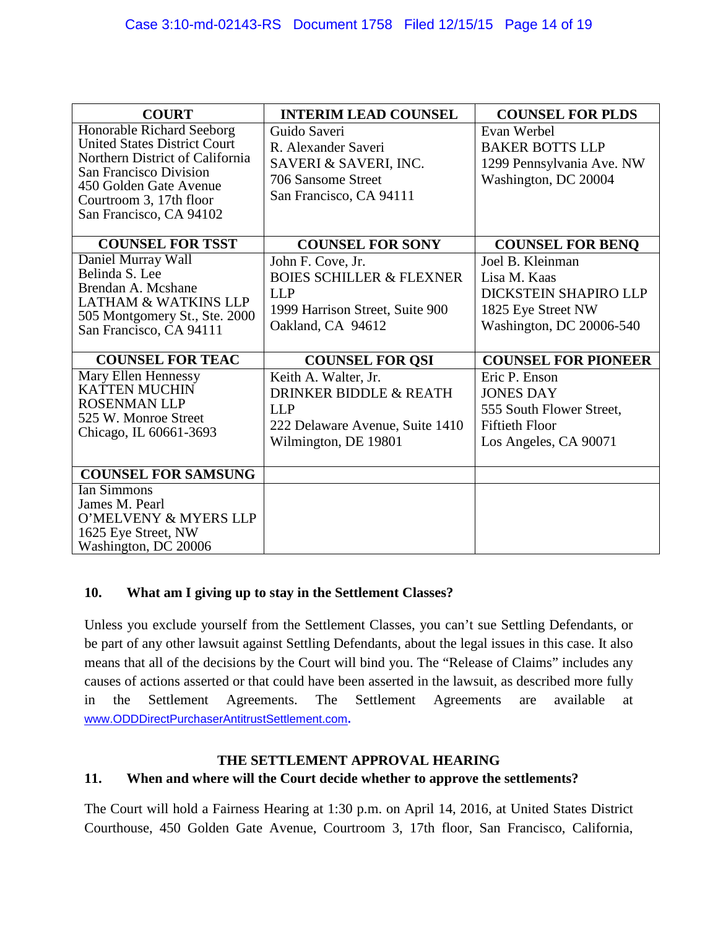| <b>COURT</b>                                                                                                                                                                                                         | <b>INTERIM LEAD COUNSEL</b>                                                                                                    | <b>COUNSEL FOR PLDS</b>                                                                                         |
|----------------------------------------------------------------------------------------------------------------------------------------------------------------------------------------------------------------------|--------------------------------------------------------------------------------------------------------------------------------|-----------------------------------------------------------------------------------------------------------------|
| Honorable Richard Seeborg<br><b>United States District Court</b><br>Northern District of California<br><b>San Francisco Division</b><br>450 Golden Gate Avenue<br>Courtroom 3, 17th floor<br>San Francisco, CA 94102 | Guido Saveri<br>R. Alexander Saveri<br>SAVERI & SAVERI, INC.<br>706 Sansome Street<br>San Francisco, CA 94111                  | Evan Werbel<br><b>BAKER BOTTS LLP</b><br>1299 Pennsylvania Ave. NW<br>Washington, DC 20004                      |
| <b>COUNSEL FOR TSST</b>                                                                                                                                                                                              | <b>COUNSEL FOR SONY</b>                                                                                                        | <b>COUNSEL FOR BENQ</b>                                                                                         |
| Daniel Murray Wall<br>Belinda S. Lee<br>Brendan A. Mcshane<br><b>LATHAM &amp; WATKINS LLP</b><br>505 Montgomery St., Ste. 2000<br>San Francisco, CA 94111                                                            | John F. Cove, Jr.<br><b>BOIES SCHILLER &amp; FLEXNER</b><br><b>LLP</b><br>1999 Harrison Street, Suite 900<br>Oakland, CA 94612 | Joel B. Kleinman<br>Lisa M. Kaas<br>DICKSTEIN SHAPIRO LLP<br>1825 Eye Street NW<br>Washington, DC 20006-540     |
| <b>COUNSEL FOR TEAC</b>                                                                                                                                                                                              | <b>COUNSEL FOR QSI</b>                                                                                                         | <b>COUNSEL FOR PIONEER</b>                                                                                      |
| Mary Ellen Hennessy<br><b>KATTEN MUCHIN</b><br><b>ROSENMAN LLP</b><br>525 W. Monroe Street<br>Chicago, IL 60661-3693                                                                                                 | Keith A. Walter, Jr.<br>DRINKER BIDDLE & REATH<br><b>LLP</b><br>222 Delaware Avenue, Suite 1410<br>Wilmington, DE 19801        | Eric P. Enson<br><b>JONES DAY</b><br>555 South Flower Street,<br><b>Fiftieth Floor</b><br>Los Angeles, CA 90071 |
| <b>COUNSEL FOR SAMSUNG</b>                                                                                                                                                                                           |                                                                                                                                |                                                                                                                 |
| <b>Ian Simmons</b><br>James M. Pearl<br>O'MELVENY & MYERS LLP<br>1625 Eye Street, NW<br>Washington, DC 20006                                                                                                         |                                                                                                                                |                                                                                                                 |

## **10. What am I giving up to stay in the Settlement Classes?**

Unless you exclude yourself from the Settlement Classes, you can't sue Settling Defendants, or be part of any other lawsuit against Settling Defendants, about the legal issues in this case. It also means that all of the decisions by the Court will bind you. The "Release of Claims" includes any causes of actions asserted or that could have been asserted in the lawsuit, as described more fully in the Settlement Agreements. The Settlement Agreements are available at www.ODDDirectPurchaserAntitrustSettlement.com**.**

#### **THE SETTLEMENT APPROVAL HEARING**

## **11. When and where will the Court decide whether to approve the settlements?**

The Court will hold a Fairness Hearing at 1:30 p.m. on April 14, 2016, at United States District Courthouse, 450 Golden Gate Avenue, Courtroom 3, 17th floor, San Francisco, California,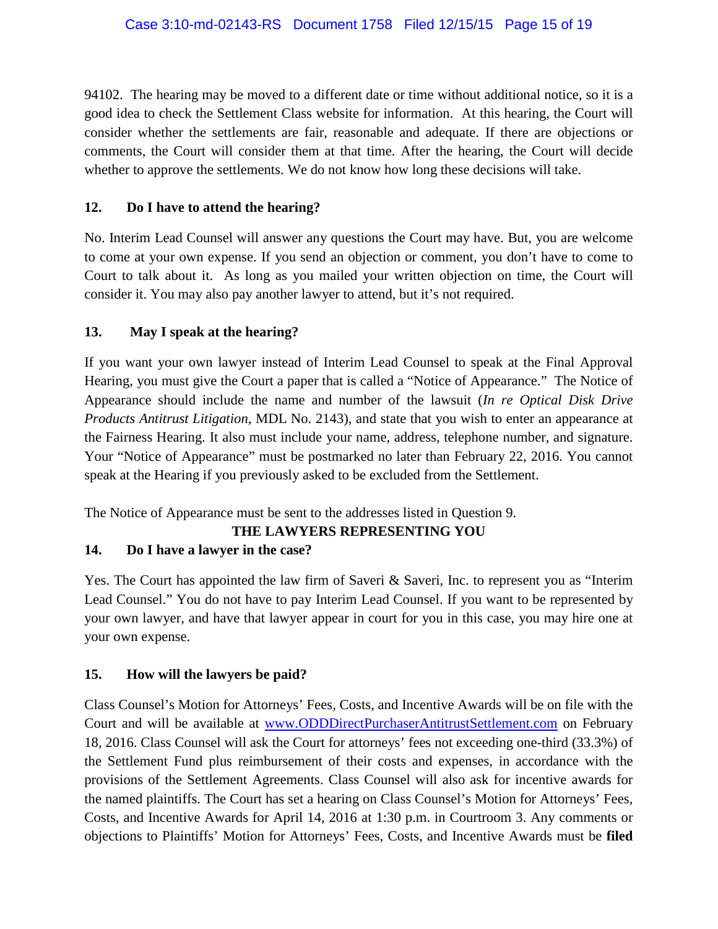94102. The hearing may be moved to a different date or time without additional notice, so it is a good idea to check the Settlement Class website for information. At this hearing, the Court will consider whether the settlements are fair, reasonable and adequate. If there are objections or comments, the Court will consider them at that time. After the hearing, the Court will decide whether to approve the settlements. We do not know how long these decisions will take.

#### **12. Do I have to attend the hearing?**

No. Interim Lead Counsel will answer any questions the Court may have. But, you are welcome to come at your own expense. If you send an objection or comment, you don't have to come to Court to talk about it. As long as you mailed your written objection on time, the Court will consider it. You may also pay another lawyer to attend, but it's not required.

### **13. May I speak at the hearing?**

If you want your own lawyer instead of Interim Lead Counsel to speak at the Final Approval Hearing, you must give the Court a paper that is called a "Notice of Appearance." The Notice of Appearance should include the name and number of the lawsuit (*In re Optical Disk Drive Products Antitrust Litigation*, MDL No. 2143), and state that you wish to enter an appearance at the Fairness Hearing. It also must include your name, address, telephone number, and signature. Your "Notice of Appearance" must be postmarked no later than February 22, 2016. You cannot speak at the Hearing if you previously asked to be excluded from the Settlement.

The Notice of Appearance must be sent to the addresses listed in Question 9.

#### **THE LAWYERS REPRESENTING YOU**

## **14. Do I have a lawyer in the case?**

Yes. The Court has appointed the law firm of Saveri & Saveri, Inc. to represent you as "Interim" Lead Counsel." You do not have to pay Interim Lead Counsel. If you want to be represented by your own lawyer, and have that lawyer appear in court for you in this case, you may hire one at your own expense.

#### **15. How will the lawyers be paid?**

Class Counsel's Motion for Attorneys' Fees, Costs, and Incentive Awards will be on file with the Court and will be available at www.ODDDirectPurchaserAntitrustSettlement.com on February 18, 2016. Class Counsel will ask the Court for attorneys' fees not exceeding one-third (33.3%) of the Settlement Fund plus reimbursement of their costs and expenses, in accordance with the provisions of the Settlement Agreements. Class Counsel will also ask for incentive awards for the named plaintiffs. The Court has set a hearing on Class Counsel's Motion for Attorneys' Fees, Costs, and Incentive Awards for April 14, 2016 at 1:30 p.m. in Courtroom 3. Any comments or objections to Plaintiffs' Motion for Attorneys' Fees, Costs, and Incentive Awards must be **filed**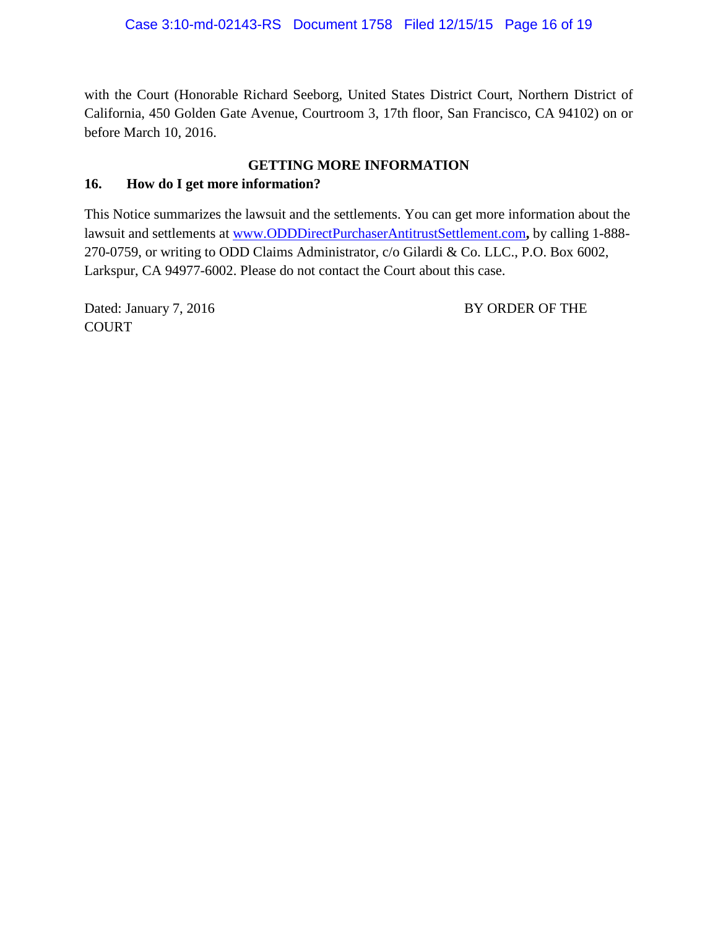with the Court (Honorable Richard Seeborg, United States District Court, Northern District of California, 450 Golden Gate Avenue, Courtroom 3, 17th floor, San Francisco, CA 94102) on or before March 10, 2016.

#### **GETTING MORE INFORMATION**

## **16. How do I get more information?**

This Notice summarizes the lawsuit and the settlements. You can get more information about the lawsuit and settlements at www.ODDDirectPurchaserAntitrustSettlement.com**,** by calling 1-888- 270-0759, or writing to ODD Claims Administrator, c/o Gilardi & Co. LLC., P.O. Box 6002, Larkspur, CA 94977-6002. Please do not contact the Court about this case.

Dated: January 7, 2016 BY ORDER OF THE COURT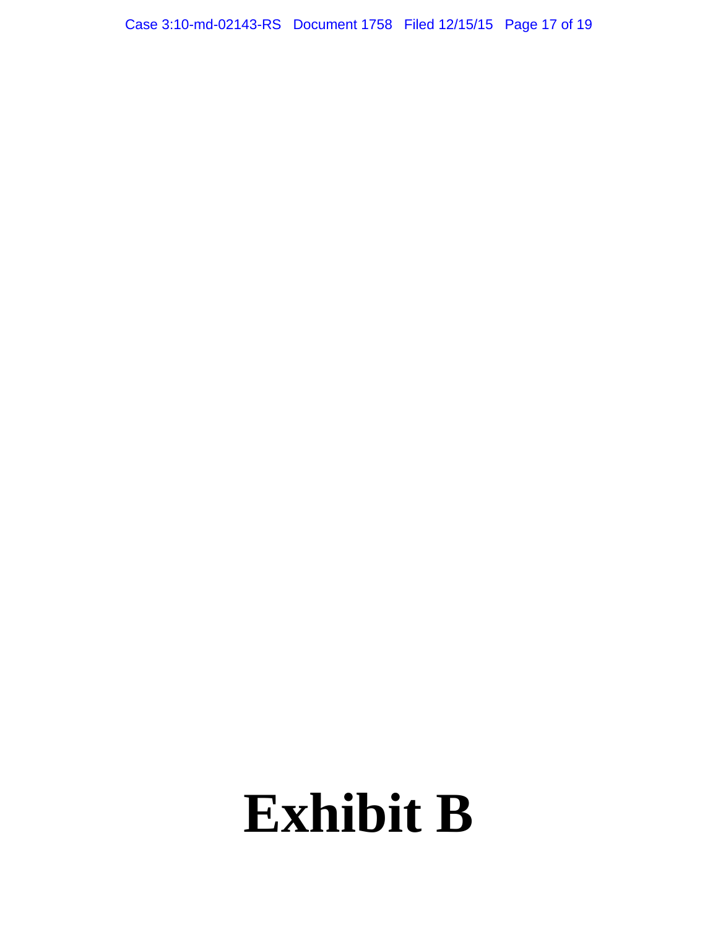Case 3:10-md-02143-RS Document 1758 Filed 12/15/15 Page 17 of 19

# **Exhibit B**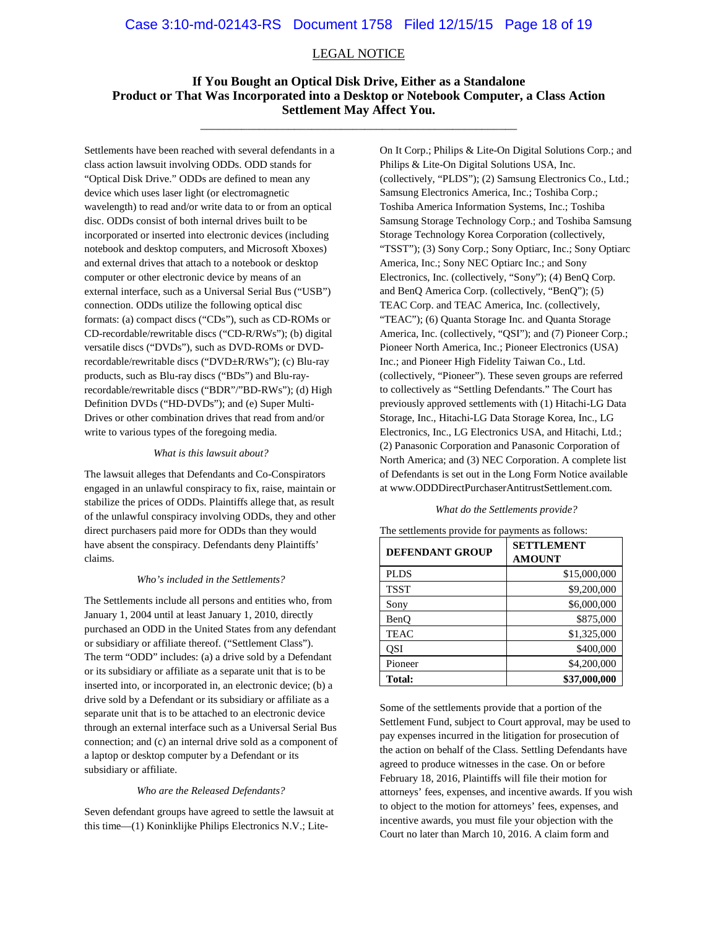#### LEGAL NOTICE

#### **If You Bought an Optical Disk Drive, Either as a Standalone Product or That Was Incorporated into a Desktop or Notebook Computer, a Class Action Settlement May Affect You.** \_\_\_\_\_\_\_\_\_\_\_\_\_\_\_\_\_\_\_\_\_\_\_\_\_\_\_\_\_\_\_\_\_\_\_\_\_\_\_\_\_\_\_\_\_\_\_\_\_\_\_\_\_\_

Settlements have been reached with several defendants in a class action lawsuit involving ODDs. ODD stands for "Optical Disk Drive." ODDs are defined to mean any device which uses laser light (or electromagnetic wavelength) to read and/or write data to or from an optical disc. ODDs consist of both internal drives built to be incorporated or inserted into electronic devices (including notebook and desktop computers, and Microsoft Xboxes) and external drives that attach to a notebook or desktop computer or other electronic device by means of an external interface, such as a Universal Serial Bus ("USB") connection. ODDs utilize the following optical disc formats: (a) compact discs ("CDs"), such as CD-ROMs or CD-recordable/rewritable discs ("CD-R/RWs"); (b) digital versatile discs ("DVDs"), such as DVD-ROMs or DVDrecordable/rewritable discs ("DVD±R/RWs"); (c) Blu-ray products, such as Blu-ray discs ("BDs") and Blu-rayrecordable/rewritable discs ("BDR"/"BD-RWs"); (d) High Definition DVDs ("HD-DVDs"); and (e) Super Multi-Drives or other combination drives that read from and/or write to various types of the foregoing media.

#### *What is this lawsuit about?*

The lawsuit alleges that Defendants and Co-Conspirators engaged in an unlawful conspiracy to fix, raise, maintain or stabilize the prices of ODDs. Plaintiffs allege that, as result of the unlawful conspiracy involving ODDs, they and other direct purchasers paid more for ODDs than they would have absent the conspiracy. Defendants deny Plaintiffs' claims.

#### *Who's included in the Settlements?*

The Settlements include all persons and entities who, from January 1, 2004 until at least January 1, 2010, directly purchased an ODD in the United States from any defendant or subsidiary or affiliate thereof. ("Settlement Class"). The term "ODD" includes: (a) a drive sold by a Defendant or its subsidiary or affiliate as a separate unit that is to be inserted into, or incorporated in, an electronic device; (b) a drive sold by a Defendant or its subsidiary or affiliate as a separate unit that is to be attached to an electronic device through an external interface such as a Universal Serial Bus connection; and (c) an internal drive sold as a component of a laptop or desktop computer by a Defendant or its subsidiary or affiliate.

#### *Who are the Released Defendants?*

Seven defendant groups have agreed to settle the lawsuit at this time—(1) Koninklijke Philips Electronics N.V.; Lite-

On It Corp.; Philips & Lite-On Digital Solutions Corp.; and Philips & Lite-On Digital Solutions USA, Inc. (collectively, "PLDS"); (2) Samsung Electronics Co., Ltd.; Samsung Electronics America, Inc.; Toshiba Corp.; Toshiba America Information Systems, Inc.; Toshiba Samsung Storage Technology Corp.; and Toshiba Samsung Storage Technology Korea Corporation (collectively, "TSST"); (3) Sony Corp.; Sony Optiarc, Inc.; Sony Optiarc America, Inc.; Sony NEC Optiarc Inc.; and Sony Electronics, Inc. (collectively, "Sony"); (4) BenQ Corp. and BenQ America Corp. (collectively, "BenQ"); (5) TEAC Corp. and TEAC America, Inc. (collectively, "TEAC"); (6) Quanta Storage Inc. and Quanta Storage America, Inc. (collectively, "QSI"); and (7) Pioneer Corp.; Pioneer North America, Inc.; Pioneer Electronics (USA) Inc.; and Pioneer High Fidelity Taiwan Co., Ltd. (collectively, "Pioneer"). These seven groups are referred to collectively as "Settling Defendants." The Court has previously approved settlements with (1) Hitachi-LG Data Storage, Inc., Hitachi-LG Data Storage Korea, Inc., LG Electronics, Inc., LG Electronics USA, and Hitachi, Ltd.; (2) Panasonic Corporation and Panasonic Corporation of North America; and (3) NEC Corporation. A complete list of Defendants is set out in the Long Form Notice available at www.ODDDirectPurchaserAntitrustSettlement.com.

#### *What do the Settlements provide?*

| <b>DEFENDANT GROUP</b> | <b>SETTLEMENT</b><br><b>AMOUNT</b> |
|------------------------|------------------------------------|
| <b>PLDS</b>            | \$15,000,000                       |
| <b>TSST</b>            | \$9,200,000                        |
| Sony                   | \$6,000,000                        |
| BenO                   | \$875,000                          |
| <b>TEAC</b>            | \$1,325,000                        |
| OSI                    | \$400,000                          |
| Pioneer                | \$4,200,000                        |
| Total:                 | \$37,000,000                       |

The settlements provide for payments as follows:

Some of the settlements provide that a portion of the Settlement Fund, subject to Court approval, may be used to pay expenses incurred in the litigation for prosecution of the action on behalf of the Class. Settling Defendants have agreed to produce witnesses in the case. On or before February 18, 2016, Plaintiffs will file their motion for attorneys' fees, expenses, and incentive awards. If you wish to object to the motion for attorneys' fees, expenses, and incentive awards, you must file your objection with the Court no later than March 10, 2016. A claim form and